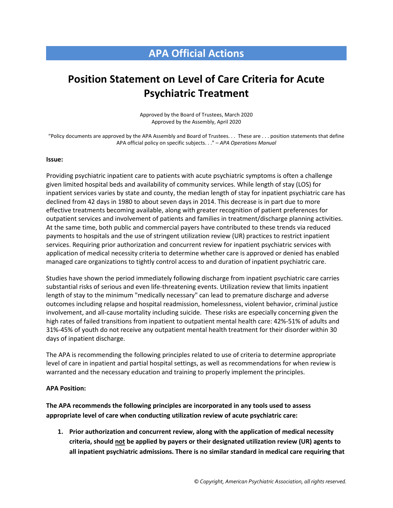## **APA Official Actions**

## **Position Statement on Level of Care Criteria for Acute Psychiatric Treatment**

Approved by the Board of Trustees, March 2020 Approved by the Assembly, April 2020

"Policy documents are approved by the APA Assembly and Board of Trustees. . . These are . . . position statements that define APA official policy on specific subjects. . ." – *APA Operations Manual*

## **Issue:**

Providing psychiatric inpatient care to patients with acute psychiatric symptoms is often a challenge given limited hospital beds and availability of community services. While length of stay (LOS) for inpatient services varies by state and county, the median length of stay for inpatient psychiatric care has declined from 42 days in 1980 to about seven days in 2014. This decrease is in part due to more effective treatments becoming available, along with greater recognition of patient preferences for outpatient services and involvement of patients and families in treatment/discharge planning activities. At the same time, both public and commercial payers have contributed to these trends via reduced payments to hospitals and the use of stringent utilization review (UR) practices to restrict inpatient services. Requiring prior authorization and concurrent review for inpatient psychiatric services with application of medical necessity criteria to determine whether care is approved or denied has enabled managed care organizations to tightly control access to and duration of inpatient psychiatric care.

Studies have shown the period immediately following discharge from inpatient psychiatric care carries substantial risks of serious and even life-threatening events. Utilization review that limits inpatient length of stay to the minimum "medically necessary" can lead to premature discharge and adverse outcomes including relapse and hospital readmission, homelessness, violent behavior, criminal justice involvement, and all-cause mortality including suicide. These risks are especially concerning given the high rates of failed transitions from inpatient to outpatient mental health care: 42%-51% of adults and 31%-45% of youth do not receive any outpatient mental health treatment for their disorder within 30 days of inpatient discharge.

The APA is recommending the following principles related to use of criteria to determine appropriate level of care in inpatient and partial hospital settings, as well as recommendations for when review is warranted and the necessary education and training to properly implement the principles.

## **APA Position:**

**The APA recommends the following principles are incorporated in any tools used to assess appropriate level of care when conducting utilization review of acute psychiatric care:** 

**1. Prior authorization and concurrent review, along with the application of medical necessity criteria, should not be applied by payers or their designated utilization review (UR) agents to all inpatient psychiatric admissions. There is no similar standard in medical care requiring that**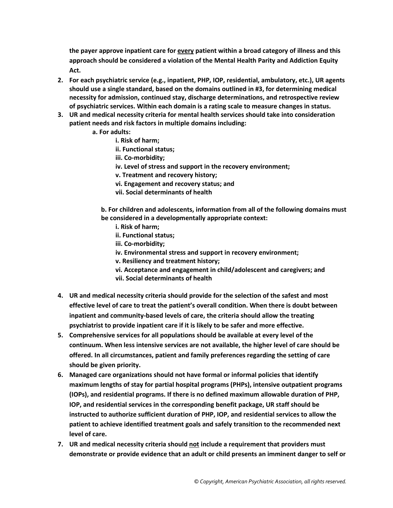**the payer approve inpatient care for every patient within a broad category of illness and this approach should be considered a violation of the Mental Health Parity and Addiction Equity Act.**

- **2. For each psychiatric service (e.g., inpatient, PHP, IOP, residential, ambulatory, etc.), UR agents should use a single standard, based on the domains outlined in #3, for determining medical necessity for admission, continued stay, discharge determinations, and retrospective review of psychiatric services. Within each domain is a rating scale to measure changes in status.**
- **3. UR and medical necessity criteria for mental health services should take into consideration patient needs and risk factors in multiple domains including:**
	- **a. For adults:**
		- **i. Risk of harm;**
		- **ii. Functional status;**
		- **iii. Co-morbidity;**
		- **iv. Level of stress and support in the recovery environment;**
		- **v. Treatment and recovery history;**
		- **vi. Engagement and recovery status; and**
		- **vii. Social determinants of health**

**b. For children and adolescents, information from all of the following domains must be considered in a developmentally appropriate context:**

- **i. Risk of harm;**
- **ii. Functional status;**
- **iii. Co-morbidity;**
- **iv. Environmental stress and support in recovery environment;**
- **v. Resiliency and treatment history;**
- **vi. Acceptance and engagement in child/adolescent and caregivers; and vii. Social determinants of health**
- **4. UR and medical necessity criteria should provide for the selection of the safest and most effective level of care to treat the patient's overall condition. When there is doubt between inpatient and community-based levels of care, the criteria should allow the treating psychiatrist to provide inpatient care if it is likely to be safer and more effective.**
- **5. Comprehensive services for all populations should be available at every level of the continuum. When less intensive services are not available, the higher level of care should be offered. In all circumstances, patient and family preferences regarding the setting of care should be given priority.**
- **6. Managed care organizations should not have formal or informal policies that identify maximum lengths of stay for partial hospital programs (PHPs), intensive outpatient programs (IOPs), and residential programs. If there is no defined maximum allowable duration of PHP, IOP, and residential services in the corresponding benefit package, UR staff should be instructed to authorize sufficient duration of PHP, IOP, and residential services to allow the patient to achieve identified treatment goals and safely transition to the recommended next level of care.**
- **7. UR and medical necessity criteria should not include a requirement that providers must demonstrate or provide evidence that an adult or child presents an imminent danger to self or**